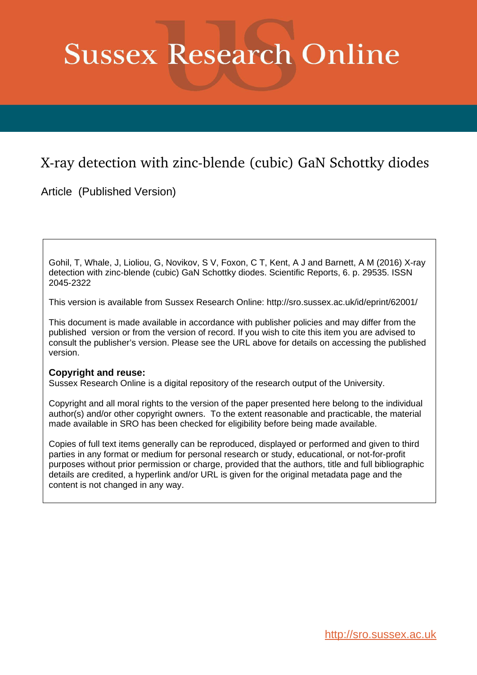# **Sussex Research Online**

### X-ray detection with zinc-blende (cubic) GaN Schottky diodes

Article (Published Version)

Gohil, T, Whale, J, Lioliou, G, Novikov, S V, Foxon, C T, Kent, A J and Barnett, A M (2016) X-ray detection with zinc-blende (cubic) GaN Schottky diodes. Scientific Reports, 6. p. 29535. ISSN 2045-2322

This version is available from Sussex Research Online: http://sro.sussex.ac.uk/id/eprint/62001/

This document is made available in accordance with publisher policies and may differ from the published version or from the version of record. If you wish to cite this item you are advised to consult the publisher's version. Please see the URL above for details on accessing the published version.

#### **Copyright and reuse:**

Sussex Research Online is a digital repository of the research output of the University.

Copyright and all moral rights to the version of the paper presented here belong to the individual author(s) and/or other copyright owners. To the extent reasonable and practicable, the material made available in SRO has been checked for eligibility before being made available.

Copies of full text items generally can be reproduced, displayed or performed and given to third parties in any format or medium for personal research or study, educational, or not-for-profit purposes without prior permission or charge, provided that the authors, title and full bibliographic details are credited, a hyperlink and/or URL is given for the original metadata page and the content is not changed in any way.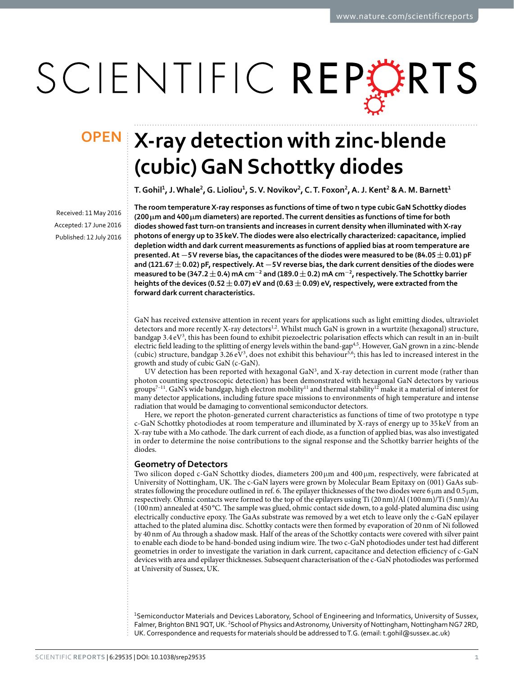# SCIENTIFIC REPERTS

Received: 11 May 2016 accepted: 17 June 2016 Published: 12 July 2016

## **OPEN** X-ray detection with zinc-blende **(cubic) GaN Schottky diodes**

T. Gohil<sup>1</sup>, J. Whale<sup>2</sup>, G. Lioliou<sup>1</sup>, S. V. Novikov<sup>2</sup>, C. T. Foxon<sup>2</sup>, A. J. Kent<sup>2</sup> & A. M. Barnett<sup>1</sup>

**The room temperature X-ray responses as functions of time of two n type cubic GaN Schottky diodes (200 μm and 400 μm diameters) are reported. The current densities as functions of time for both diodes showed fast turn-on transients and increases in current density when illuminated with X-ray photons of energy up to 35 keV.The diodes were also electrically characterized: capacitance, implied depletion width and dark current measurements as functions of applied bias at room temperature are presented. At −5 V reverse bias,the capacitances ofthe diodes were measured to be (84.05 ± 0.01) pF and (121.67 ± 0.02) pF, respectively.At −5 V reverse bias,the dark current densities ofthe diodes were** measured to be (347.2  $\pm$  0.4) mA cm<sup>-2</sup> and (189.0  $\pm$  0.2) mA cm<sup>-2</sup>, respectively. The Schottky barrier **heights ofthe devices (0.52 ± 0.07) eV and (0.63 ± 0.09) eV, respectively, were extracted from the forward dark current characteristics.**

GaN has received extensive attention in recent years for applications such as light emitting diodes, ultraviolet detectors and more recently X-ray detectors<sup>1[,2](#page-4-1)</sup>. Whilst much GaN is grown in a wurtzite (hexagonal) structure, bandgap  $3.4 \text{ eV}^3$  $3.4 \text{ eV}^3$ , this has been found to exhibit piezoelectric polarisation effects which can result in an in-built electric field leading to the splitting of energy levels within the band-gap<sup>[4,](#page-4-3)5</sup>. However, GaN grown in a zinc-blende (cubic) structure, bandgap  $3.26 \text{ eV}^3$  $3.26 \text{ eV}^3$ , does not exhibit this behaviour<sup>[5](#page-4-4),6</sup>; this has led to increased interest in the growth and study of cubic GaN (c-GaN).

UV detection has been reported with hexagonal  $GaN<sup>3</sup>$ , and X-ray detection in current mode (rather than photon counting spectroscopic detection) has been demonstrated with hexagonal GaN detectors by various groups<sup>7–11</sup>. GaN's wide bandgap, high electron mobility<sup>11</sup> and thermal stability<sup>12</sup> make it a material of interest for many detector applications, including future space missions to environments of high temperature and intense radiation that would be damaging to conventional semiconductor detectors.

Here, we report the photon-generated current characteristics as functions of time of two prototype n type c-GaN Schottky photodiodes at room temperature and illuminated by X-rays of energy up to 35 keV from an X-ray tube with a Mo cathode. The dark current of each diode, as a function of applied bias, was also investigated in order to determine the noise contributions to the signal response and the Schottky barrier heights of the diodes.

#### **Geometry of Detectors**

Two silicon doped c-GaN Schottky diodes, diameters 200 μm and 400 μm, respectively, were fabricated at University of Nottingham, UK. The c-GaN layers were grown by Molecular Beam Epitaxy on (001) GaAs sub-strates following the procedure outlined in ref. [6](#page-4-5). The epilayer thicknesses of the two diodes were 6 $\mu$ m and 0.5 $\mu$ m, respectively. Ohmic contacts were formed to the top of the epilayers using Ti (20nm)/Al (100nm)/Ti (5nm)/Au (100nm) annealed at 450 °C. The sample was glued, ohmic contact side down, to a gold-plated alumina disc using electrically conductive epoxy. The GaAs substrate was removed by a wet etch to leave only the c-GaN epilayer attached to the plated alumina disc. Schottky contacts were then formed by evaporation of 20nm of Ni followed by 40nm of Au through a shadow mask. Half of the areas of the Schottky contacts were covered with silver paint to enable each diode to be hand-bonded using indium wire. The two c-GaN photodiodes under test had different geometries in order to investigate the variation in dark current, capacitance and detection efficiency of c-GaN devices with area and epilayer thicknesses. Subsequent characterisation of the c-GaN photodiodes was performed at University of Sussex, UK.

<sup>1</sup>Semiconductor Materials and Devices Laboratory, School of Engineering and Informatics, University of Sussex, Falmer, Brighton BN1 9QT, UK. <sup>2</sup>School of Physics and Astronomy, University of Nottingham, Nottingham NG7 2RD, UK. Correspondence and requests for materials should be addressed to T.G. (email: [t.gohil@sussex.ac.uk\)](mailto:t.gohil@sussex.ac.uk)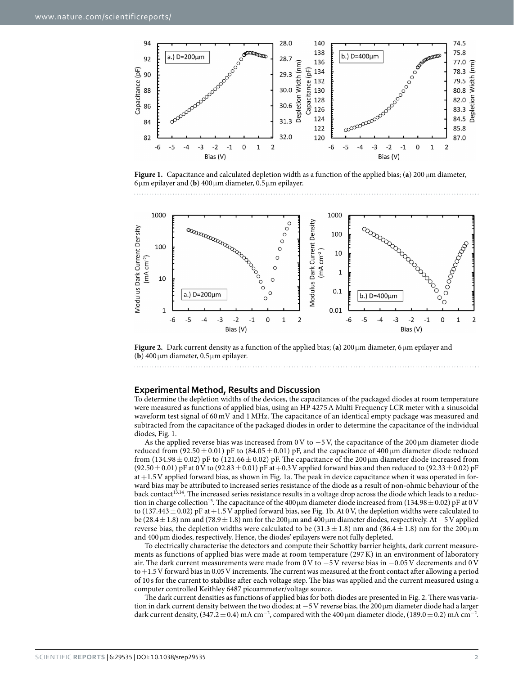

<span id="page-2-0"></span>**Figure 1.** Capacitance and calculated depletion width as a function of the applied bias; (**a**) 200μm diameter, 6μm epilayer and (**b**) 400μm diameter, 0.5μm epilayer.



<span id="page-2-1"></span>**Figure 2.** Dark current density as a function of the applied bias; (**a**) 200μm diameter, 6μm epilayer and (**b**) 400μm diameter, 0.5μm epilayer.

#### **Experimental Method, Results and Discussion**

To determine the depletion widths of the devices, the capacitances of the packaged diodes at room temperature were measured as functions of applied bias, using an HP 4275A Multi Frequency LCR meter with a sinusoidal waveform test signal of 60 mV and 1MHz. The capacitance of an identical empty package was measured and subtracted from the capacitance of the packaged diodes in order to determine the capacitance of the individual diodes, [Fig. 1.](#page-2-0)

As the applied reverse bias was increased from 0 V to  $-5$  V, the capacitance of the 200 µm diameter diode reduced from  $(92.50 \pm 0.01)$  pF to  $(84.05 \pm 0.01)$  pF, and the capacitance of 400 µm diameter diode reduced from (134.98  $\pm$  0.02) pF to (121.66  $\pm$  0.02) pF. The capacitance of the 200 µm diameter diode increased from (92.50  $\pm$  0.01) pF at 0 V to (92.83  $\pm$  0.01) pF at +0.3 V applied forward bias and then reduced to (92.33  $\pm$  0.02) pF  $at+1.5V$  applied forward bias, as shown in [Fig. 1a.](#page-2-0) The peak in device capacitance when it was operated in forward bias may be attributed to increased series resistance of the diode as a result of non-ohmic behaviour of the back contact<sup>[13](#page-4-9),[14](#page-4-10)</sup>. The increased series resistance results in a voltage drop across the diode which leads to a reduction in charge collection<sup>15</sup>. The capacitance of the 400  $\mu$ m diameter diode increased from (134.98  $\pm$  0.02) pF at 0 V to (137.443±0.02) pF at+1.5V applied forward bias, see [Fig. 1b.](#page-2-0) At 0V, the depletion widths were calculated to be (28.4±1.8) nm and (78.9±1.8) nm for the 200μm and 400μm diameter diodes, respectively. At −5V applied reverse bias, the depletion widths were calculated to be  $(31.3 \pm 1.8)$  nm and  $(86.4 \pm 1.8)$  nm for the 200 µm and 400μm diodes, respectively. Hence, the diodes' epilayers were not fully depleted.

To electrically characterise the detectors and compute their Schottky barrier heights, dark current measurements as functions of applied bias were made at room temperature (297K) in an environment of laboratory air. The dark current measurements were made from 0 V to −5 V reverse bias in −0.05 V decrements and 0 V to +1.5 V forward bias in 0.05 V increments. The current was measured at the front contact after allowing a period of 10 s for the current to stabilise after each voltage step. The bias was applied and the current measured using a computer controlled Keithley 6487 picoammeter/voltage source.

The dark current densities as functions of applied bias for both diodes are presented in [Fig. 2.](#page-2-1) There was variation in dark current density between the two diodes; at −5V reverse bias, the 200μm diameter diode had a larger dark current density, (347.2 ± 0.4) mA cm<sup>-2</sup>, compared with the 400 µm diameter diode, (189.0 ± 0.2) mA cm<sup>-2</sup>.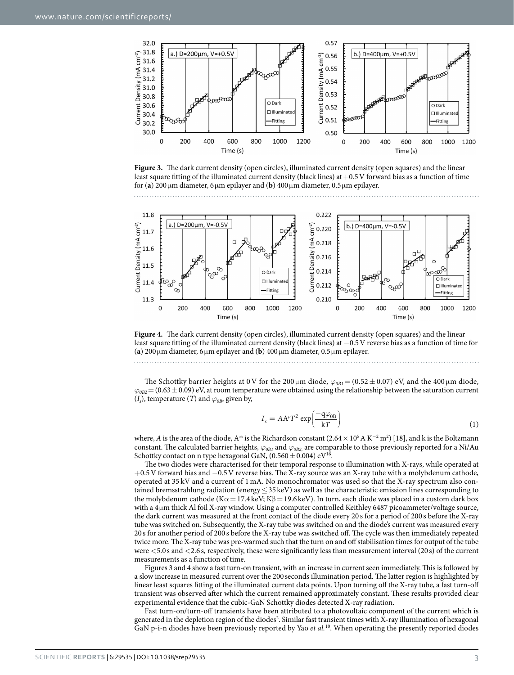

<span id="page-3-0"></span>**Figure 3.** The dark current density (open circles), illuminated current density (open squares) and the linear least square fitting of the illuminated current density (black lines) at  $+0.5V$  forward bias as a function of time for (**a**) 200μm diameter, 6μm epilayer and (**b**) 400μm diameter, 0.5μm epilayer.



<span id="page-3-1"></span>**Figure 4.** The dark current density (open circles), illuminated current density (open squares) and the linear least square fitting of the illuminated current density (black lines) at −0.5V reverse bias as a function of time for (**a**) 200μm diameter, 6μm epilayer and (**b**) 400μm diameter, 0.5μm epilayer.

The Schottky barrier heights at 0 V for the 200  $\mu$ m diode,  $\varphi_{0BI} = (0.52 \pm 0.07)$  eV, and the 400  $\mu$ m diode,  $\varphi_{0B2}$  = (0.63  $\pm$  0.09) eV, at room temperature were obtained using the relationship between the saturation current  $(I_s)$ , temperature  $(T)$  and  $\varphi_{OB}$ , given by,

$$
I_s = A A^* T^2 \exp\left(\frac{-q\varphi_{0B}}{kT}\right) \tag{1}
$$

where, *A* is the area of the diode, A\* is the Richardson constant  $(2.64 \times 10^5 \text{ A K}^{-2} \text{ m}^2)$  [18], and k is the Boltzmann constant. The calculated barrier heights, *ϕ0B1* and *ϕ0B2*, are comparable to those previously reported for a Ni/Au Schottky contact on n type hexagonal GaN,  $(0.560 \pm 0.004)$  eV<sup>16</sup>.

The two diodes were characterised for their temporal response to illumination with X-rays, while operated at +0.5V forward bias and −0.5V reverse bias. The X-ray source was an X-ray tube with a molybdenum cathode, operated at 35 kV and a current of 1 mA. No monochromator was used so that the X-ray spectrum also contained bremsstrahlung radiation (energy≤35 keV) as well as the characteristic emission lines corresponding to the molybdenum cathode (K $\alpha$  = 17.4 keV; K $\beta$  = 19.6 keV). In turn, each diode was placed in a custom dark box with a 4μm thick Al foil X-ray window. Using a computer controlled Keithley 6487 picoammeter/voltage source, the dark current was measured at the front contact of the diode every 20 s for a period of 200 s before the X-ray tube was switched on. Subsequently, the X-ray tube was switched on and the diode's current was measured every 20 s for another period of 200 s before the X-ray tube was switched off. The cycle was then immediately repeated twice more. The X-ray tube was pre-warmed such that the turn on and off stabilisation times for output of the tube were <5.0 s and <2.6 s, respectively, these were significantly less than measurement interval (20 s) of the current measurements as a function of time.

[Figures 3](#page-3-0) and [4](#page-3-1) show a fast turn-on transient, with an increase in current seen immediately. This is followed by a slow increase in measured current over the 200 seconds illumination period. The latter region is highlighted by linear least squares fitting of the illuminated current data points. Upon turning off the X-ray tube, a fast turn-off transient was observed after which the current remained approximately constant. These results provided clear experimental evidence that the cubic-GaN Schottky diodes detected X-ray radiation.

Fast turn-on/turn-off transients have been attributed to a photovoltaic component of the current which is generated in the depletion region of the diodes<sup>2</sup>. Similar fast transient times with X-ray illumination of hexagonal GaN p-i-n diodes have been previously reported by Yao *et al.*[10.](#page-4-13) When operating the presently reported diodes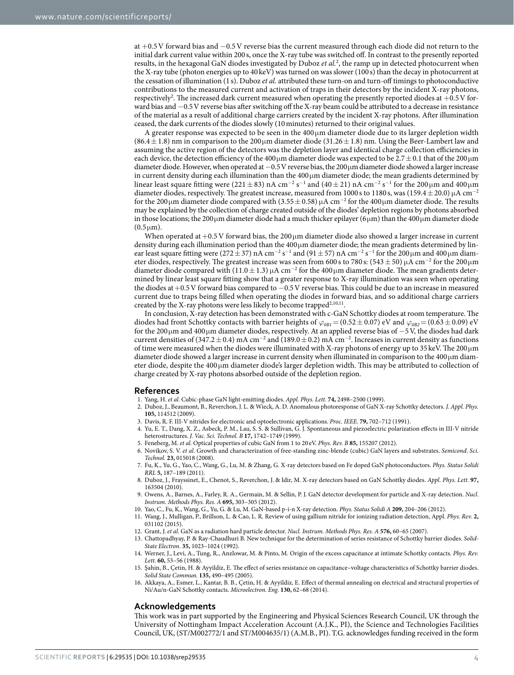at +0.5V forward bias and −0.5V reverse bias the current measured through each diode did not return to the initial dark current value within 200 s, once the X-ray tube was switched off. In contrast to the presently reported results, in the hexagonal GaN diodes investigated by Duboz *et al.*[2](#page-4-1) , the ramp up in detected photocurrent when the X-ray tube (photon energies up to 40 keV) was turned on was slower (100 s) than the decay in photocurrent at the cessation of illumination (1 s). Duboz *et al.* attributed these turn-on and turn-off timings to photoconductive contributions to the measured current and activation of traps in their detectors by the incident X-ray photons, respectively<sup>[2](#page-4-1)</sup>. The increased dark current measured when operating the presently reported diodes at  $+0.5$  V forward bias and −0.5V reverse bias after switching off the X-ray beam could be attributed to a decrease in resistance of the material as a result of additional charge carriers created by the incident X-ray photons. After illumination ceased, the dark currents of the diodes slowly (10minutes) returned to their original values.

A greater response was expected to be seen in the 400 μm diameter diode due to its larger depletion width  $(86.4 \pm 1.8)$  nm in comparison to the 200 µm diameter diode (31.26  $\pm$  1.8) nm. Using the Beer-Lambert law and assuming the active region of the detectors was the depletion layer and identical charge collection efficiencies in each device, the detection efficiency of the 400  $\mu$ m diameter diode was expected to be 2.7  $\pm$ 0.1 that of the 200  $\mu$ m diameter diode. However, when operated at −0.5V reverse bias, the 200μm diameter diode showed a larger increase in current density during each illumination than the  $400 \mu m$  diameter diode; the mean gradients determined by linear least square fitting were (221 $\pm$ 83) nA cm $^{-2}$  s $^{-1}$  and (40 $\pm$ 21) nA cm $^{-2}$  s $^{-1}$  for the 200 $\mu$ m and 400 $\mu$ m diameter diodes, respectively. The greatest increase, measured from 1000 s to 1180 s, was (159.4  $\pm$  20.0)  $\mu$ A cm<sup>-2</sup> for the 200µm diameter diode compared with  $(3.55 \pm 0.58)$  µA cm<sup>-2</sup> for the 400µm diameter diode. The results may be explained by the collection of charge created outside of the diodes' depletion regions by photons absorbed in those locations; the 200  $\mu$ m diameter diode had a much thicker epilayer (6 $\mu$ m) than the 400  $\mu$ m diameter diode  $(0.5 \mu m)$ .

When operated at  $+0.5$  V forward bias, the 200  $\mu$ m diameter diode also showed a larger increase in current density during each illumination period than the  $400 \mu m$  diameter diode; the mean gradients determined by linear least square fitting were (272  $\pm$  37) nA cm<sup>−2</sup> s<sup>−1</sup> and (91  $\pm$  57) nA cm<sup>−2</sup> s<sup>−1</sup> for the 200µm and 400µm diameter diodes, respectively. The greatest increase was seen from 600 s to 780 s:  $(543 \pm 50)$  µA cm<sup>−2</sup> for the 200µm diameter diode compared with (11.0  $\pm$  1.3)  $\mu$ A cm<sup>-2</sup> for the 400  $\mu$ m diameter diode. The mean gradients determined by linear least square fitting show that a greater response to X-ray illumination was seen when operating the diodes at+0.5V forward bias compared to −0.5V reverse bias. This could be due to an increase in measured current due to traps being filled when operating the diodes in forward bias, and so additional charge carriers created by the X-ray photons were less likely to become trapped<sup>[2](#page-4-1),[10](#page-4-13),[11](#page-4-7)</sup>.

In conclusion, X-ray detection has been demonstrated with c-GaN Schottky diodes at room temperature. The diodes had front Schottky contacts with barrier heights of  $\varphi_{0B1}=(0.52\pm0.07)$  eV and  $\varphi_{0B2}=(0.63\pm0.09)$  eV for the 200μm and 400μm diameter diodes, respectively. At an applied reverse bias of −5V, the diodes had dark current densities of (347.2 ± 0.4) mA cm<sup>-2</sup> and (189.0 ± 0.2) mA cm<sup>-2</sup>. Increases in current density as functions of time were measured when the diodes were illuminated with X-ray photons of energy up to 35keV. The 200μm diameter diode showed a larger increase in current density when illuminated in comparison to the 400 $\mu$ m diameter diode, despite the 400 μm diameter diode's larger depletion width. This may be attributed to collection of charge created by X-ray photons absorbed outside of the depletion region.

#### **References**

- <span id="page-4-0"></span>1. Yang, H. *et al.* Cubic-phase GaN light-emitting diodes. *Appl. Phys. Lett.* **74,** 2498–2500 (1999).
- <span id="page-4-1"></span>2. Duboz, J., Beaumont, B., Reverchon, J. L. & Wieck, A. D. Anomalous photoresponse of GaN X-ray Schottky detectors. *J. Appl. Phys.* **105,** 114512 (2009).
- <span id="page-4-2"></span>3. Davis, R. F. III-V nitrides for electronic and optoelectronic applications. *Proc. IEEE*. **79,** 702–712 (1991).
- <span id="page-4-3"></span>4. Yu, E. T., Dang, X. Z., Asbeck, P. M., Lau, S. S. & Sullivan, G. J. Spontaneous and piezoelectric polarization effects in III-V nitride heterostructures. *J. Vac. Sci. Technol. B* **17,** 1742–1749 (1999).
- <span id="page-4-4"></span>5. Feneberg, M. *et al.* Optical properties of cubic GaN from 1 to 20 eV. *Phys. Rev. B* **85,** 155207 (2012).
- <span id="page-4-5"></span>6. Novikov, S. V. *et al.* Growth and characterization of free-standing zinc-blende (cubic) GaN layers and substrates. *Semicond. Sci. Technol.* **23,** 015018 (2008).
- <span id="page-4-6"></span>7. Fu, K., Yu, G., Yao, C., Wang, G., Lu, M. & Zhang, G. X-ray detectors based on Fe doped GaN photoconductors. *Phys. Status Solidi RRL* **5,** 187–189 (2011).
- 8. Duboz, J., Frayssinet, E., Chenot, S., Reverchon, J. & Idir, M. X-ray detectors based on GaN Schottky diodes. *Appl. Phys. Lett.* **97,** 163504 (2010).
- 9. Owens, A., Barnes, A., Farley, R. A., Germain, M. & Sellin, P. J. GaN detector development for particle and X-ray detection. *Nucl. Instrum. Methods Phys. Res. A* **695,** 303–305 (2012).
- <span id="page-4-13"></span>10. Yao, C., Fu, K., Wang, G., Yu, G. & Lu, M. GaN-based p-i-n X-ray detection. *Phys. Status Solidi A* **209,** 204–206 (2012).
- <span id="page-4-7"></span>11. Wang, J., Mulligan, P., Brillson, L. & Cao, L. R. Review of using gallium nitride for ionizing radiation detection, Appl. *Phys. Rev.* **2,** 031102 (2015).
- <span id="page-4-9"></span><span id="page-4-8"></span>12. Grant, J. *et al.* GaN as a radiation hard particle detector. *Nucl. Instrum. Methods Phys. Res. A* **576,** 60–65 (2007).
- 13. Chattopadhyay, P. & Ray-Chaudhuri B. New technique for the determination of series resistance of Schottky barrier diodes. *Solid-State Electron.* **35,** 1023–1024 (1992).
- <span id="page-4-10"></span>14. Werner, J., Levi, A., Tung, R., Anzlowar, M. & Pinto, M. Origin of the excess capacitance at intimate Schottky contacts. *Phys. Rev. Lett.* **60,** 53–56 (1988).
- <span id="page-4-11"></span>15. Şahin, B., Çetin, H. & Ayyildiz, E. The effect of series resistance on capacitance–voltage characteristics of Schottky barrier diodes. *Solid State Commun.* **135,** 490–495 (2005).
- <span id="page-4-12"></span>16. Akkaya, A., Esmer, L., Kantar, B. B., Çetin, H. & Ayyildiz, E. Effect of thermal annealing on electrical and structural properties of Ni/Au/n-GaN Schottky contacts. *Microelectron. Eng.* **130,** 62–68 (2014).

#### **Acknowledgements**

This work was in part supported by the Engineering and Physical Sciences Research Council, UK through the University of Nottingham Impact Acceleration Account (A.J.K., PI), the Science and Technologies Facilities Council, UK, (ST/M002772/1 and ST/M004635/1) (A.M.B., PI). T.G. acknowledges funding received in the form